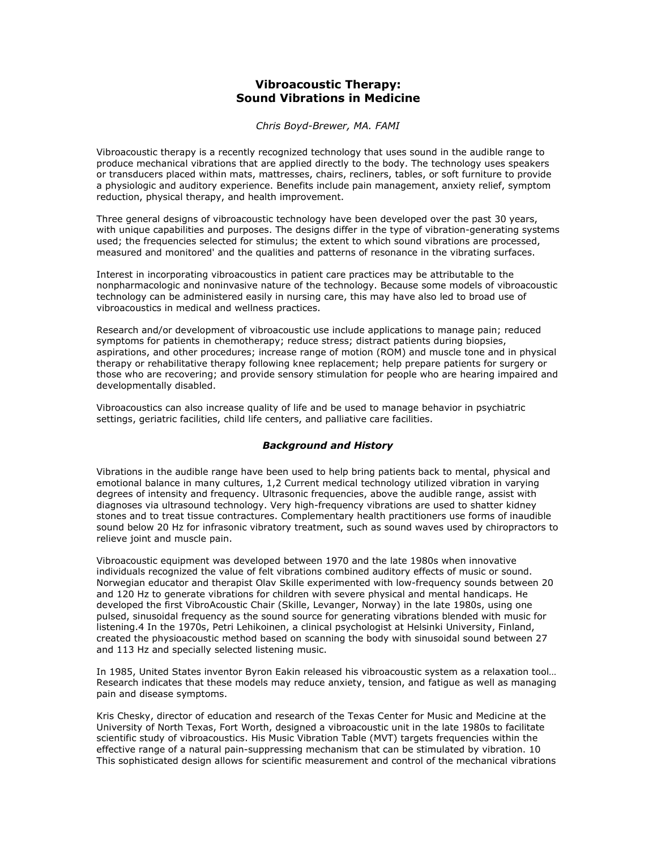# **Vibroacoustic Therapy: Sound Vibrations in Medicine**

*Chris Boyd-Brewer, MA. FAMI*

Vibroacoustic therapy is a recently recognized technology that uses sound in the audible range to produce mechanical vibrations that are applied directly to the body. The technology uses speakers or transducers placed within mats, mattresses, chairs, recliners, tables, or soft furniture to provide a physiologic and auditory experience. Benefits include pain management, anxiety relief, symptom reduction, physical therapy, and health improvement.

Three general designs of vibroacoustic technology have been developed over the past 30 years, with unique capabilities and purposes. The designs differ in the type of vibration-generating systems used; the frequencies selected for stimulus; the extent to which sound vibrations are processed, measured and monitored' and the qualities and patterns of resonance in the vibrating surfaces.

Interest in incorporating vibroacoustics in patient care practices may be attributable to the nonpharmacologic and noninvasive nature of the technology. Because some models of vibroacoustic technology can be administered easily in nursing care, this may have also led to broad use of vibroacoustics in medical and wellness practices.

Research and/or development of vibroacoustic use include applications to manage pain; reduced symptoms for patients in chemotherapy; reduce stress; distract patients during biopsies, aspirations, and other procedures; increase range of motion (ROM) and muscle tone and in physical therapy or rehabilitative therapy following knee replacement; help prepare patients for surgery or those who are recovering; and provide sensory stimulation for people who are hearing impaired and developmentally disabled.

Vibroacoustics can also increase quality of life and be used to manage behavior in psychiatric settings, geriatric facilities, child life centers, and palliative care facilities.

# *Background and History*

Vibrations in the audible range have been used to help bring patients back to mental, physical and emotional balance in many cultures, 1,2 Current medical technology utilized vibration in varying degrees of intensity and frequency. Ultrasonic frequencies, above the audible range, assist with diagnoses via ultrasound technology. Very high-frequency vibrations are used to shatter kidney stones and to treat tissue contractures. Complementary health practitioners use forms of inaudible sound below 20 Hz for infrasonic vibratory treatment, such as sound waves used by chiropractors to relieve joint and muscle pain.

Vibroacoustic equipment was developed between 1970 and the late 1980s when innovative individuals recognized the value of felt vibrations combined auditory effects of music or sound. Norwegian educator and therapist Olav Skille experimented with low-frequency sounds between 20 and 120 Hz to generate vibrations for children with severe physical and mental handicaps. He developed the first VibroAcoustic Chair (Skille, Levanger, Norway) in the late 1980s, using one pulsed, sinusoidal frequency as the sound source for generating vibrations blended with music for listening.4 In the 1970s, Petri Lehikoinen, a clinical psychologist at Helsinki University, Finland, created the physioacoustic method based on scanning the body with sinusoidal sound between 27 and 113 Hz and specially selected listening music.

In 1985, United States inventor Byron Eakin released his vibroacoustic system as a relaxation tool… Research indicates that these models may reduce anxiety, tension, and fatigue as well as managing pain and disease symptoms.

Kris Chesky, director of education and research of the Texas Center for Music and Medicine at the University of North Texas, Fort Worth, designed a vibroacoustic unit in the late 1980s to facilitate scientific study of vibroacoustics. His Music Vibration Table (MVT) targets frequencies within the effective range of a natural pain-suppressing mechanism that can be stimulated by vibration. 10 This sophisticated design allows for scientific measurement and control of the mechanical vibrations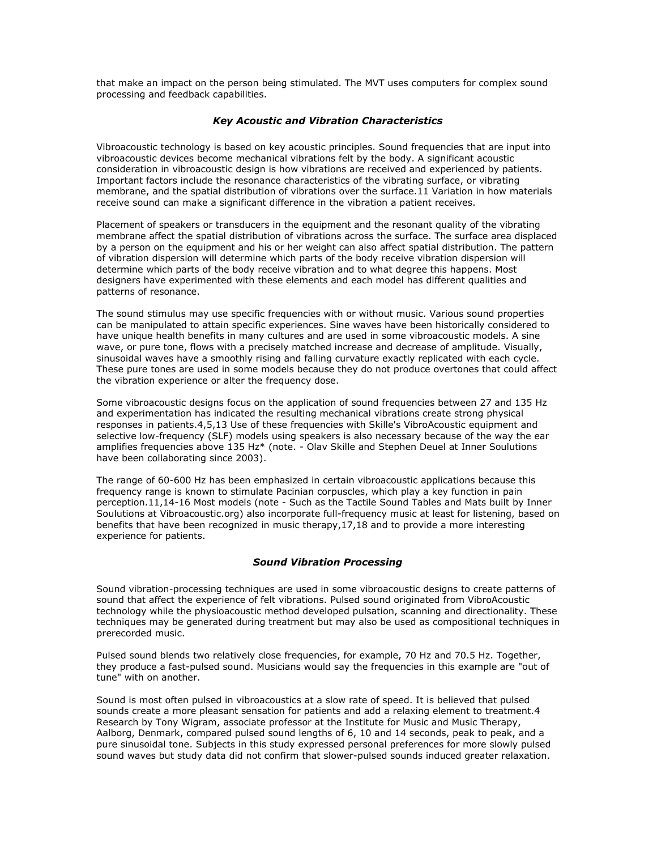that make an impact on the person being stimulated. The MVT uses computers for complex sound processing and feedback capabilities.

### *Key Acoustic and Vibration Characteristics*

Vibroacoustic technology is based on key acoustic principles. Sound frequencies that are input into vibroacoustic devices become mechanical vibrations felt by the body. A significant acoustic consideration in vibroacoustic design is how vibrations are received and experienced by patients. Important factors include the resonance characteristics of the vibrating surface, or vibrating membrane, and the spatial distribution of vibrations over the surface.11 Variation in how materials receive sound can make a significant difference in the vibration a patient receives.

Placement of speakers or transducers in the equipment and the resonant quality of the vibrating membrane affect the spatial distribution of vibrations across the surface. The surface area displaced by a person on the equipment and his or her weight can also affect spatial distribution. The pattern of vibration dispersion will determine which parts of the body receive vibration dispersion will determine which parts of the body receive vibration and to what degree this happens. Most designers have experimented with these elements and each model has different qualities and patterns of resonance.

The sound stimulus may use specific frequencies with or without music. Various sound properties can be manipulated to attain specific experiences. Sine waves have been historically considered to have unique health benefits in many cultures and are used in some vibroacoustic models. A sine wave, or pure tone, flows with a precisely matched increase and decrease of amplitude. Visually, sinusoidal waves have a smoothly rising and falling curvature exactly replicated with each cycle. These pure tones are used in some models because they do not produce overtones that could affect the vibration experience or alter the frequency dose.

Some vibroacoustic designs focus on the application of sound frequencies between 27 and 135 Hz and experimentation has indicated the resulting mechanical vibrations create strong physical responses in patients.4,5,13 Use of these frequencies with Skille's VibroAcoustic equipment and selective low-frequency (SLF) models using speakers is also necessary because of the way the ear amplifies frequencies above 135 Hz\* (note. - Olav Skille and Stephen Deuel at Inner Soulutions have been collaborating since 2003).

The range of 60-600 Hz has been emphasized in certain vibroacoustic applications because this frequency range is known to stimulate Pacinian corpuscles, which play a key function in pain perception.11,14-16 Most models (note - Such as the Tactile Sound Tables and Mats built by Inner Soulutions at Vibroacoustic.org) also incorporate full-frequency music at least for listening, based on benefits that have been recognized in music therapy,17,18 and to provide a more interesting experience for patients.

# *Sound Vibration Processing*

Sound vibration-processing techniques are used in some vibroacoustic designs to create patterns of sound that affect the experience of felt vibrations. Pulsed sound originated from VibroAcoustic technology while the physioacoustic method developed pulsation, scanning and directionality. These techniques may be generated during treatment but may also be used as compositional techniques in prerecorded music.

Pulsed sound blends two relatively close frequencies, for example, 70 Hz and 70.5 Hz. Together, they produce a fast-pulsed sound. Musicians would say the frequencies in this example are "out of tune" with on another.

Sound is most often pulsed in vibroacoustics at a slow rate of speed. It is believed that pulsed sounds create a more pleasant sensation for patients and add a relaxing element to treatment.4 Research by Tony Wigram, associate professor at the Institute for Music and Music Therapy, Aalborg, Denmark, compared pulsed sound lengths of 6, 10 and 14 seconds, peak to peak, and a pure sinusoidal tone. Subjects in this study expressed personal preferences for more slowly pulsed sound waves but study data did not confirm that slower-pulsed sounds induced greater relaxation.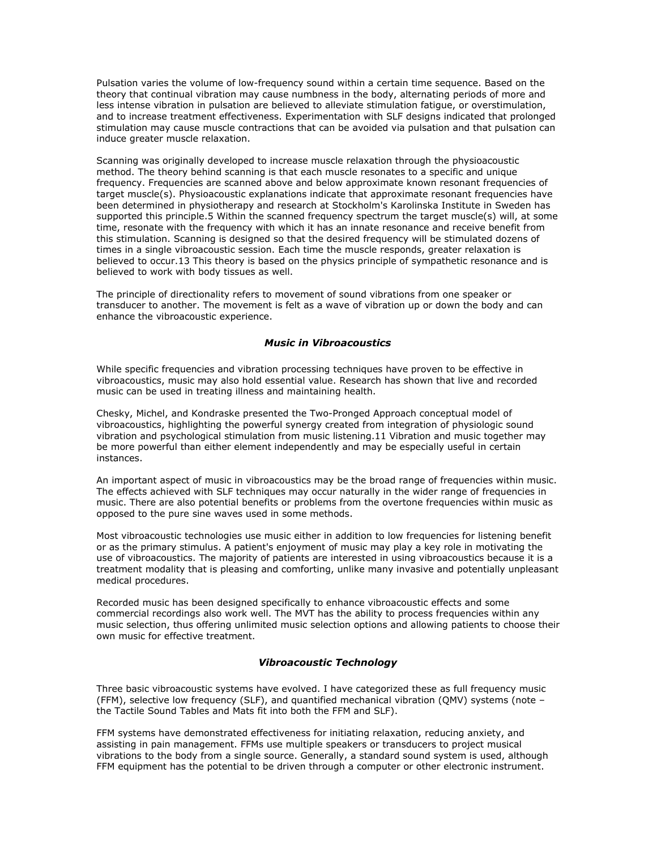Pulsation varies the volume of low-frequency sound within a certain time sequence. Based on the theory that continual vibration may cause numbness in the body, alternating periods of more and less intense vibration in pulsation are believed to alleviate stimulation fatigue, or overstimulation, and to increase treatment effectiveness. Experimentation with SLF designs indicated that prolonged stimulation may cause muscle contractions that can be avoided via pulsation and that pulsation can induce greater muscle relaxation.

Scanning was originally developed to increase muscle relaxation through the physioacoustic method. The theory behind scanning is that each muscle resonates to a specific and unique frequency. Frequencies are scanned above and below approximate known resonant frequencies of target muscle(s). Physioacoustic explanations indicate that approximate resonant frequencies have been determined in physiotherapy and research at Stockholm's Karolinska Institute in Sweden has supported this principle.5 Within the scanned frequency spectrum the target muscle(s) will, at some time, resonate with the frequency with which it has an innate resonance and receive benefit from this stimulation. Scanning is designed so that the desired frequency will be stimulated dozens of times in a single vibroacoustic session. Each time the muscle responds, greater relaxation is believed to occur.13 This theory is based on the physics principle of sympathetic resonance and is believed to work with body tissues as well.

The principle of directionality refers to movement of sound vibrations from one speaker or transducer to another. The movement is felt as a wave of vibration up or down the body and can enhance the vibroacoustic experience.

# *Music in Vibroacoustics*

While specific frequencies and vibration processing techniques have proven to be effective in vibroacoustics, music may also hold essential value. Research has shown that live and recorded music can be used in treating illness and maintaining health.

Chesky, Michel, and Kondraske presented the Two-Pronged Approach conceptual model of vibroacoustics, highlighting the powerful synergy created from integration of physiologic sound vibration and psychological stimulation from music listening.11 Vibration and music together may be more powerful than either element independently and may be especially useful in certain instances.

An important aspect of music in vibroacoustics may be the broad range of frequencies within music. The effects achieved with SLF techniques may occur naturally in the wider range of frequencies in music. There are also potential benefits or problems from the overtone frequencies within music as opposed to the pure sine waves used in some methods.

Most vibroacoustic technologies use music either in addition to low frequencies for listening benefit or as the primary stimulus. A patient's enjoyment of music may play a key role in motivating the use of vibroacoustics. The majority of patients are interested in using vibroacoustics because it is a treatment modality that is pleasing and comforting, unlike many invasive and potentially unpleasant medical procedures.

Recorded music has been designed specifically to enhance vibroacoustic effects and some commercial recordings also work well. The MVT has the ability to process frequencies within any music selection, thus offering unlimited music selection options and allowing patients to choose their own music for effective treatment.

#### *Vibroacoustic Technology*

Three basic vibroacoustic systems have evolved. I have categorized these as full frequency music (FFM), selective low frequency (SLF), and quantified mechanical vibration (QMV) systems (note – the Tactile Sound Tables and Mats fit into both the FFM and SLF).

FFM systems have demonstrated effectiveness for initiating relaxation, reducing anxiety, and assisting in pain management. FFMs use multiple speakers or transducers to project musical vibrations to the body from a single source. Generally, a standard sound system is used, although FFM equipment has the potential to be driven through a computer or other electronic instrument.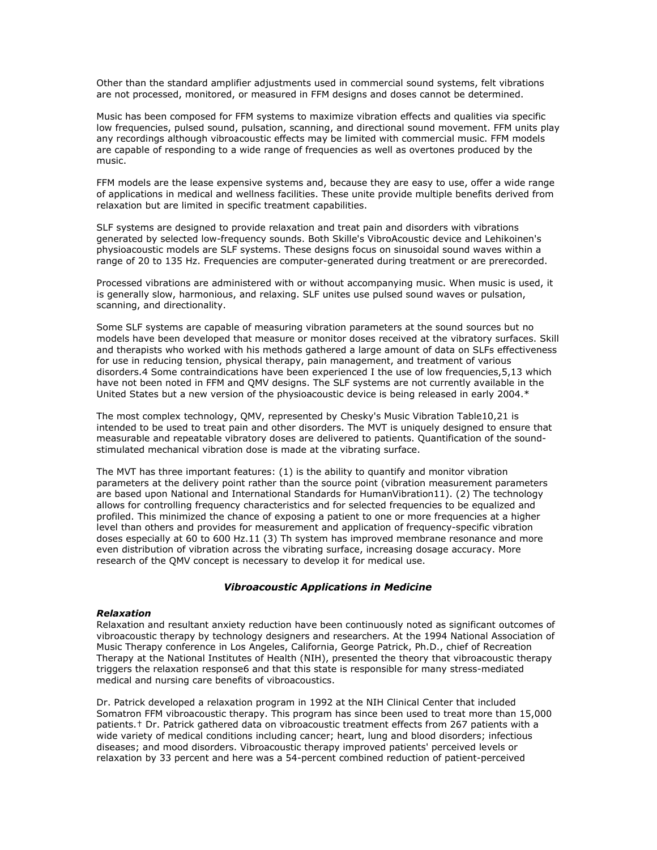Other than the standard amplifier adjustments used in commercial sound systems, felt vibrations are not processed, monitored, or measured in FFM designs and doses cannot be determined.

Music has been composed for FFM systems to maximize vibration effects and qualities via specific low frequencies, pulsed sound, pulsation, scanning, and directional sound movement. FFM units play any recordings although vibroacoustic effects may be limited with commercial music. FFM models are capable of responding to a wide range of frequencies as well as overtones produced by the music.

FFM models are the lease expensive systems and, because they are easy to use, offer a wide range of applications in medical and wellness facilities. These unite provide multiple benefits derived from relaxation but are limited in specific treatment capabilities.

SLF systems are designed to provide relaxation and treat pain and disorders with vibrations generated by selected low-frequency sounds. Both Skille's VibroAcoustic device and Lehikoinen's physioacoustic models are SLF systems. These designs focus on sinusoidal sound waves within a range of 20 to 135 Hz. Frequencies are computer-generated during treatment or are prerecorded.

Processed vibrations are administered with or without accompanying music. When music is used, it is generally slow, harmonious, and relaxing. SLF unites use pulsed sound waves or pulsation, scanning, and directionality.

Some SLF systems are capable of measuring vibration parameters at the sound sources but no models have been developed that measure or monitor doses received at the vibratory surfaces. Skill and therapists who worked with his methods gathered a large amount of data on SLFs effectiveness for use in reducing tension, physical therapy, pain management, and treatment of various disorders.4 Some contraindications have been experienced I the use of low frequencies,5,13 which have not been noted in FFM and QMV designs. The SLF systems are not currently available in the United States but a new version of the physioacoustic device is being released in early 2004.\*

The most complex technology, QMV, represented by Chesky's Music Vibration Table10,21 is intended to be used to treat pain and other disorders. The MVT is uniquely designed to ensure that measurable and repeatable vibratory doses are delivered to patients. Quantification of the soundstimulated mechanical vibration dose is made at the vibrating surface.

The MVT has three important features: (1) is the ability to quantify and monitor vibration parameters at the delivery point rather than the source point (vibration measurement parameters are based upon National and International Standards for HumanVibration11). (2) The technology allows for controlling frequency characteristics and for selected frequencies to be equalized and profiled. This minimized the chance of exposing a patient to one or more frequencies at a higher level than others and provides for measurement and application of frequency-specific vibration doses especially at 60 to 600 Hz.11 (3) Th system has improved membrane resonance and more even distribution of vibration across the vibrating surface, increasing dosage accuracy. More research of the QMV concept is necessary to develop it for medical use.

## *Vibroacoustic Applications in Medicine*

#### *Relaxation*

Relaxation and resultant anxiety reduction have been continuously noted as significant outcomes of vibroacoustic therapy by technology designers and researchers. At the 1994 National Association of Music Therapy conference in Los Angeles, California, George Patrick, Ph.D., chief of Recreation Therapy at the National Institutes of Health (NIH), presented the theory that vibroacoustic therapy triggers the relaxation response6 and that this state is responsible for many stress-mediated medical and nursing care benefits of vibroacoustics.

Dr. Patrick developed a relaxation program in 1992 at the NIH Clinical Center that included Somatron FFM vibroacoustic therapy. This program has since been used to treat more than 15,000 patients.† Dr. Patrick gathered data on vibroacoustic treatment effects from 267 patients with a wide variety of medical conditions including cancer; heart, lung and blood disorders; infectious diseases; and mood disorders. Vibroacoustic therapy improved patients' perceived levels or relaxation by 33 percent and here was a 54-percent combined reduction of patient-perceived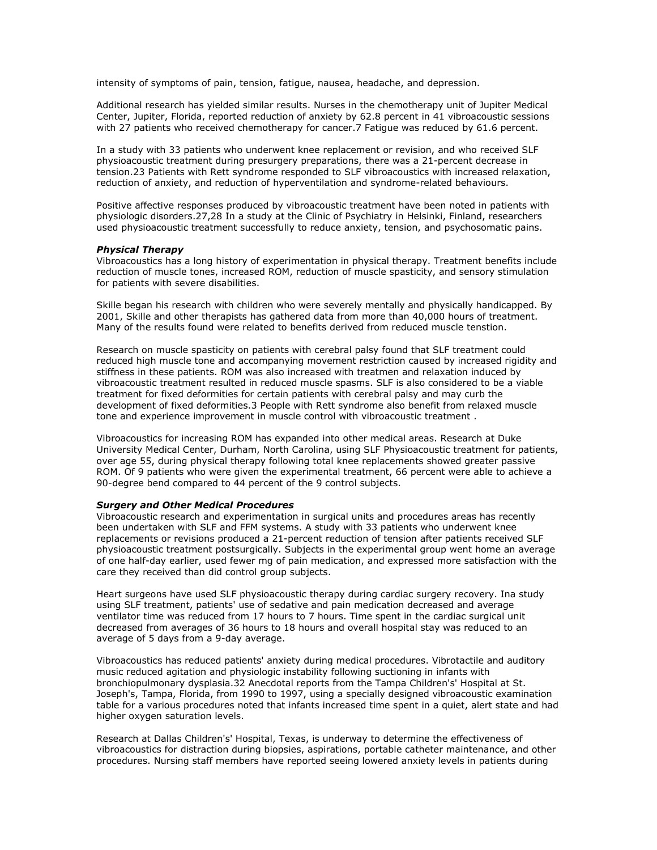intensity of symptoms of pain, tension, fatigue, nausea, headache, and depression.

Additional research has yielded similar results. Nurses in the chemotherapy unit of Jupiter Medical Center, Jupiter, Florida, reported reduction of anxiety by 62.8 percent in 41 vibroacoustic sessions with 27 patients who received chemotherapy for cancer.7 Fatigue was reduced by 61.6 percent.

In a study with 33 patients who underwent knee replacement or revision, and who received SLF physioacoustic treatment during presurgery preparations, there was a 21-percent decrease in tension.23 Patients with Rett syndrome responded to SLF vibroacoustics with increased relaxation, reduction of anxiety, and reduction of hyperventilation and syndrome-related behaviours.

Positive affective responses produced by vibroacoustic treatment have been noted in patients with physiologic disorders.27,28 In a study at the Clinic of Psychiatry in Helsinki, Finland, researchers used physioacoustic treatment successfully to reduce anxiety, tension, and psychosomatic pains.

#### *Physical Therapy*

Vibroacoustics has a long history of experimentation in physical therapy. Treatment benefits include reduction of muscle tones, increased ROM, reduction of muscle spasticity, and sensory stimulation for patients with severe disabilities.

Skille began his research with children who were severely mentally and physically handicapped. By 2001, Skille and other therapists has gathered data from more than 40,000 hours of treatment. Many of the results found were related to benefits derived from reduced muscle tenstion.

Research on muscle spasticity on patients with cerebral palsy found that SLF treatment could reduced high muscle tone and accompanying movement restriction caused by increased rigidity and stiffness in these patients. ROM was also increased with treatmen and relaxation induced by vibroacoustic treatment resulted in reduced muscle spasms. SLF is also considered to be a viable treatment for fixed deformities for certain patients with cerebral palsy and may curb the development of fixed deformities.3 People with Rett syndrome also benefit from relaxed muscle tone and experience improvement in muscle control with vibroacoustic treatment .

Vibroacoustics for increasing ROM has expanded into other medical areas. Research at Duke University Medical Center, Durham, North Carolina, using SLF Physioacoustic treatment for patients, over age 55, during physical therapy following total knee replacements showed greater passive ROM. Of 9 patients who were given the experimental treatment, 66 percent were able to achieve a 90-degree bend compared to 44 percent of the 9 control subjects.

#### *Surgery and Other Medical Procedures*

Vibroacoustic research and experimentation in surgical units and procedures areas has recently been undertaken with SLF and FFM systems. A study with 33 patients who underwent knee replacements or revisions produced a 21-percent reduction of tension after patients received SLF physioacoustic treatment postsurgically. Subjects in the experimental group went home an average of one half-day earlier, used fewer mg of pain medication, and expressed more satisfaction with the care they received than did control group subjects.

Heart surgeons have used SLF physioacoustic therapy during cardiac surgery recovery. Ina study using SLF treatment, patients' use of sedative and pain medication decreased and average ventilator time was reduced from 17 hours to 7 hours. Time spent in the cardiac surgical unit decreased from averages of 36 hours to 18 hours and overall hospital stay was reduced to an average of 5 days from a 9-day average.

Vibroacoustics has reduced patients' anxiety during medical procedures. Vibrotactile and auditory music reduced agitation and physiologic instability following suctioning in infants with bronchiopulmonary dysplasia.32 Anecdotal reports from the Tampa Children's' Hospital at St. Joseph's, Tampa, Florida, from 1990 to 1997, using a specially designed vibroacoustic examination table for a various procedures noted that infants increased time spent in a quiet, alert state and had higher oxygen saturation levels.

Research at Dallas Children's' Hospital, Texas, is underway to determine the effectiveness of vibroacoustics for distraction during biopsies, aspirations, portable catheter maintenance, and other procedures. Nursing staff members have reported seeing lowered anxiety levels in patients during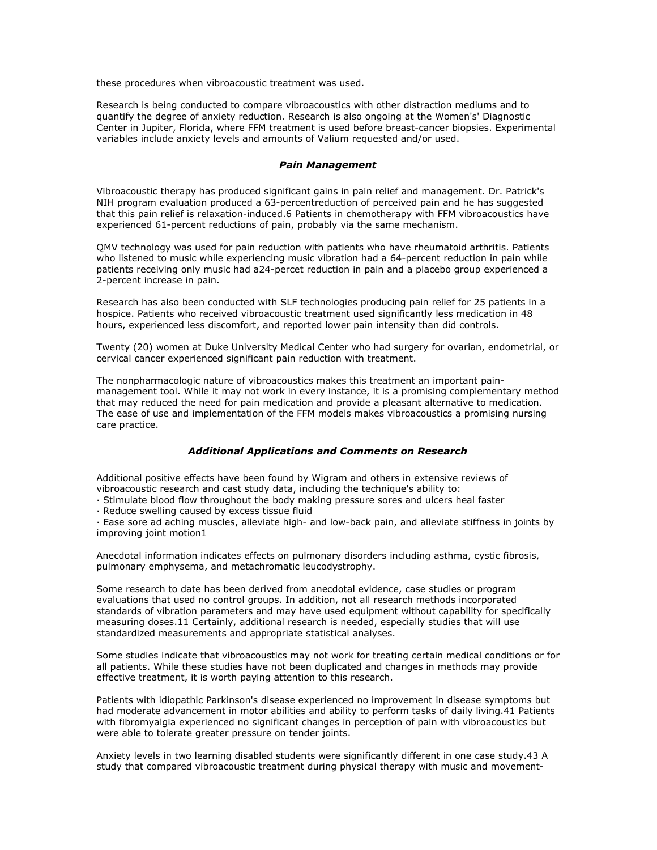these procedures when vibroacoustic treatment was used.

Research is being conducted to compare vibroacoustics with other distraction mediums and to quantify the degree of anxiety reduction. Research is also ongoing at the Women's' Diagnostic Center in Jupiter, Florida, where FFM treatment is used before breast-cancer biopsies. Experimental variables include anxiety levels and amounts of Valium requested and/or used.

### *Pain Management*

Vibroacoustic therapy has produced significant gains in pain relief and management. Dr. Patrick's NIH program evaluation produced a 63-percentreduction of perceived pain and he has suggested that this pain relief is relaxation-induced.6 Patients in chemotherapy with FFM vibroacoustics have experienced 61-percent reductions of pain, probably via the same mechanism.

QMV technology was used for pain reduction with patients who have rheumatoid arthritis. Patients who listened to music while experiencing music vibration had a 64-percent reduction in pain while patients receiving only music had a24-percet reduction in pain and a placebo group experienced a 2-percent increase in pain.

Research has also been conducted with SLF technologies producing pain relief for 25 patients in a hospice. Patients who received vibroacoustic treatment used significantly less medication in 48 hours, experienced less discomfort, and reported lower pain intensity than did controls.

Twenty (20) women at Duke University Medical Center who had surgery for ovarian, endometrial, or cervical cancer experienced significant pain reduction with treatment.

The nonpharmacologic nature of vibroacoustics makes this treatment an important painmanagement tool. While it may not work in every instance, it is a promising complementary method that may reduced the need for pain medication and provide a pleasant alternative to medication. The ease of use and implementation of the FFM models makes vibroacoustics a promising nursing care practice.

## *Additional Applications and Comments on Research*

Additional positive effects have been found by Wigram and others in extensive reviews of vibroacoustic research and cast study data, including the technique's ability to:

· Stimulate blood flow throughout the body making pressure sores and ulcers heal faster

· Reduce swelling caused by excess tissue fluid

· Ease sore ad aching muscles, alleviate high- and low-back pain, and alleviate stiffness in joints by improving joint motion1

Anecdotal information indicates effects on pulmonary disorders including asthma, cystic fibrosis, pulmonary emphysema, and metachromatic leucodystrophy.

Some research to date has been derived from anecdotal evidence, case studies or program evaluations that used no control groups. In addition, not all research methods incorporated standards of vibration parameters and may have used equipment without capability for specifically measuring doses.11 Certainly, additional research is needed, especially studies that will use standardized measurements and appropriate statistical analyses.

Some studies indicate that vibroacoustics may not work for treating certain medical conditions or for all patients. While these studies have not been duplicated and changes in methods may provide effective treatment, it is worth paying attention to this research.

Patients with idiopathic Parkinson's disease experienced no improvement in disease symptoms but had moderate advancement in motor abilities and ability to perform tasks of daily living.41 Patients with fibromyalgia experienced no significant changes in perception of pain with vibroacoustics but were able to tolerate greater pressure on tender joints.

Anxiety levels in two learning disabled students were significantly different in one case study.43 A study that compared vibroacoustic treatment during physical therapy with music and movement-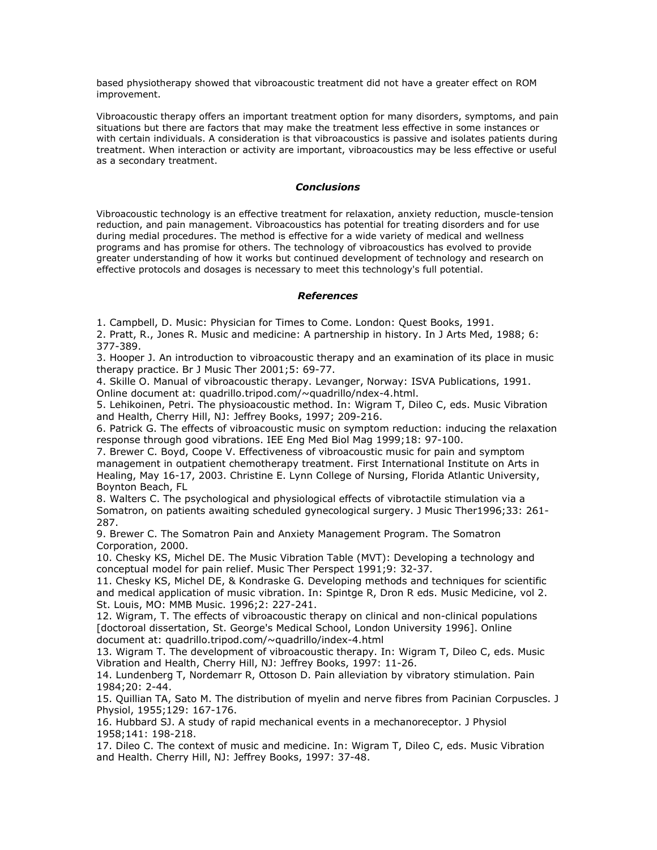based physiotherapy showed that vibroacoustic treatment did not have a greater effect on ROM improvement.

Vibroacoustic therapy offers an important treatment option for many disorders, symptoms, and pain situations but there are factors that may make the treatment less effective in some instances or with certain individuals. A consideration is that vibroacoustics is passive and isolates patients during treatment. When interaction or activity are important, vibroacoustics may be less effective or useful as a secondary treatment.

### *Conclusions*

Vibroacoustic technology is an effective treatment for relaxation, anxiety reduction, muscle-tension reduction, and pain management. Vibroacoustics has potential for treating disorders and for use during medial procedures. The method is effective for a wide variety of medical and wellness programs and has promise for others. The technology of vibroacoustics has evolved to provide greater understanding of how it works but continued development of technology and research on effective protocols and dosages is necessary to meet this technology's full potential.

# *References*

1. Campbell, D. Music: Physician for Times to Come. London: Quest Books, 1991.

2. Pratt, R., Jones R. Music and medicine: A partnership in history. In J Arts Med, 1988; 6: 377-389.

3. Hooper J. An introduction to vibroacoustic therapy and an examination of its place in music therapy practice. Br J Music Ther 2001;5: 69-77.

4. Skille O. Manual of vibroacoustic therapy. Levanger, Norway: ISVA Publications, 1991. Online document at: quadrillo.tripod.com/~quadrillo/ndex-4.html.

5. Lehikoinen, Petri. The physioacoustic method. In: Wigram T, Dileo C, eds. Music Vibration and Health, Cherry Hill, NJ: Jeffrey Books, 1997; 209-216.

6. Patrick G. The effects of vibroacoustic music on symptom reduction: inducing the relaxation response through good vibrations. IEE Eng Med Biol Mag 1999;18: 97-100.

7. Brewer C. Boyd, Coope V. Effectiveness of vibroacoustic music for pain and symptom management in outpatient chemotherapy treatment. First International Institute on Arts in Healing, May 16-17, 2003. Christine E. Lynn College of Nursing, Florida Atlantic University, Boynton Beach, FL

8. Walters C. The psychological and physiological effects of vibrotactile stimulation via a Somatron, on patients awaiting scheduled gynecological surgery. J Music Ther1996;33: 261- 287.

9. Brewer C. The Somatron Pain and Anxiety Management Program. The Somatron Corporation, 2000.

10. Chesky KS, Michel DE. The Music Vibration Table (MVT): Developing a technology and conceptual model for pain relief. Music Ther Perspect 1991;9: 32-37.

11. Chesky KS, Michel DE, & Kondraske G. Developing methods and techniques for scientific and medical application of music vibration. In: Spintge R, Dron R eds. Music Medicine, vol 2. St. Louis, MO: MMB Music. 1996;2: 227-241.

12. Wigram, T. The effects of vibroacoustic therapy on clinical and non-clinical populations [doctoroal dissertation, St. George's Medical School, London University 1996]. Online document at: quadrillo.tripod.com/~quadrillo/index-4.html

13. Wigram T. The development of vibroacoustic therapy. In: Wigram T, Dileo C, eds. Music Vibration and Health, Cherry Hill, NJ: Jeffrey Books, 1997: 11-26.

14. Lundenberg T, Nordemarr R, Ottoson D. Pain alleviation by vibratory stimulation. Pain 1984;20: 2-44.

15. Quillian TA, Sato M. The distribution of myelin and nerve fibres from Pacinian Corpuscles. J Physiol, 1955;129: 167-176.

16. Hubbard SJ. A study of rapid mechanical events in a mechanoreceptor. J Physiol 1958;141: 198-218.

17. Dileo C. The context of music and medicine. In: Wigram T, Dileo C, eds. Music Vibration and Health. Cherry Hill, NJ: Jeffrey Books, 1997: 37-48.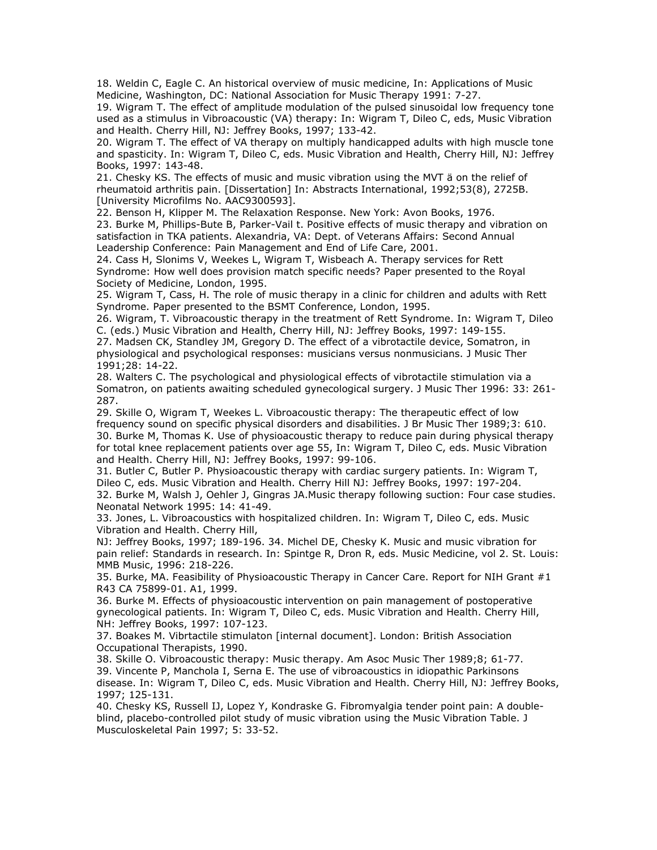18. Weldin C, Eagle C. An historical overview of music medicine, In: Applications of Music Medicine, Washington, DC: National Association for Music Therapy 1991: 7-27.

19. Wigram T. The effect of amplitude modulation of the pulsed sinusoidal low frequency tone used as a stimulus in Vibroacoustic (VA) therapy: In: Wigram T, Dileo C, eds, Music Vibration and Health. Cherry Hill, NJ: Jeffrey Books, 1997; 133-42.

20. Wigram T. The effect of VA therapy on multiply handicapped adults with high muscle tone and spasticity. In: Wigram T, Dileo C, eds. Music Vibration and Health, Cherry Hill, NJ: Jeffrey Books, 1997: 143-48.

21. Chesky KS. The effects of music and music vibration using the MVT ä on the relief of rheumatoid arthritis pain. [Dissertation] In: Abstracts International, 1992;53(8), 2725B. [University Microfilms No. AAC9300593].

22. Benson H, Klipper M. The Relaxation Response. New York: Avon Books, 1976.

23. Burke M, Phillips-Bute B, Parker-Vail t. Positive effects of music therapy and vibration on satisfaction in TKA patients. Alexandria, VA: Dept. of Veterans Affairs: Second Annual Leadership Conference: Pain Management and End of Life Care, 2001.

24. Cass H, Slonims V, Weekes L, Wigram T, Wisbeach A. Therapy services for Rett Syndrome: How well does provision match specific needs? Paper presented to the Royal Society of Medicine, London, 1995.

25. Wigram T, Cass, H. The role of music therapy in a clinic for children and adults with Rett Syndrome. Paper presented to the BSMT Conference, London, 1995.

26. Wigram, T. Vibroacoustic therapy in the treatment of Rett Syndrome. In: Wigram T, Dileo C. (eds.) Music Vibration and Health, Cherry Hill, NJ: Jeffrey Books, 1997: 149-155.

27. Madsen CK, Standley JM, Gregory D. The effect of a vibrotactile device, Somatron, in physiological and psychological responses: musicians versus nonmusicians. J Music Ther 1991;28: 14-22.

28. Walters C. The psychological and physiological effects of vibrotactile stimulation via a Somatron, on patients awaiting scheduled gynecological surgery. J Music Ther 1996: 33: 261- 287.

29. Skille O, Wigram T, Weekes L. Vibroacoustic therapy: The therapeutic effect of low frequency sound on specific physical disorders and disabilities. J Br Music Ther 1989;3: 610. 30. Burke M, Thomas K. Use of physioacoustic therapy to reduce pain during physical therapy for total knee replacement patients over age 55, In: Wigram T, Dileo C, eds. Music Vibration and Health. Cherry Hill, NJ: Jeffrey Books, 1997: 99-106.

31. Butler C, Butler P. Physioacoustic therapy with cardiac surgery patients. In: Wigram T, Dileo C, eds. Music Vibration and Health. Cherry Hill NJ: Jeffrey Books, 1997: 197-204.

32. Burke M, Walsh J, Oehler J, Gingras JA.Music therapy following suction: Four case studies. Neonatal Network 1995: 14: 41-49.

33. Jones, L. Vibroacoustics with hospitalized children. In: Wigram T, Dileo C, eds. Music Vibration and Health. Cherry Hill,

NJ: Jeffrey Books, 1997; 189-196. 34. Michel DE, Chesky K. Music and music vibration for pain relief: Standards in research. In: Spintge R, Dron R, eds. Music Medicine, vol 2. St. Louis: MMB Music, 1996: 218-226.

35. Burke, MA. Feasibility of Physioacoustic Therapy in Cancer Care. Report for NIH Grant  $#1$ R43 CA 75899-01. A1, 1999.

36. Burke M. Effects of physioacoustic intervention on pain management of postoperative gynecological patients. In: Wigram T, Dileo C, eds. Music Vibration and Health. Cherry Hill, NH: Jeffrey Books, 1997: 107-123.

37. Boakes M. Vibrtactile stimulaton [internal document]. London: British Association Occupational Therapists, 1990.

38. Skille O. Vibroacoustic therapy: Music therapy. Am Asoc Music Ther 1989;8; 61-77. 39. Vincente P, Manchola I, Serna E. The use of vibroacoustics in idiopathic Parkinsons disease. In: Wigram T, Dileo C, eds. Music Vibration and Health. Cherry Hill, NJ: Jeffrey Books, 1997; 125-131.

40. Chesky KS, Russell IJ, Lopez Y, Kondraske G. Fibromyalgia tender point pain: A doubleblind, placebo-controlled pilot study of music vibration using the Music Vibration Table. J Musculoskeletal Pain 1997; 5: 33-52.